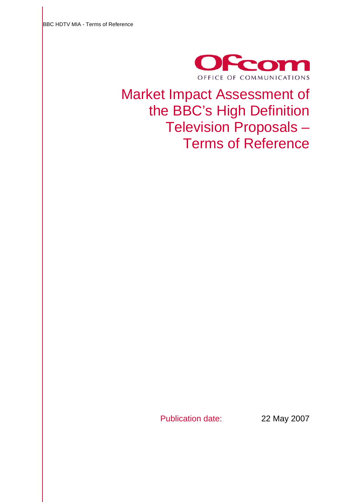

Market Impact Assessment of the BBC's High Definition Television Proposals – Terms of Reference

Publication date: 22 May 2007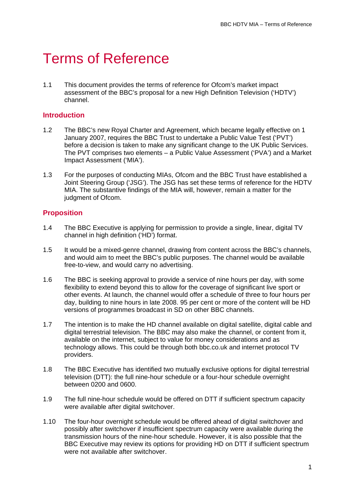# **Terms of Reference**

1.1 This document provides the terms of reference for Ofcom's market impact assessment of the BBC's proposal for a new High Definition Television ('HDTV') channel.

#### **Introduction**

- 1.2 The BBC's new Royal Charter and Agreement, which became legally effective on 1 January 2007, requires the BBC Trust to undertake a Public Value Test ('PVT') before a decision is taken to make any significant change to the UK Public Services. The PVT comprises two elements – a Public Value Assessment ('PVA') and a Market Impact Assessment ('MIA').
- 1.3 For the purposes of conducting MIAs, Ofcom and the BBC Trust have established a Joint Steering Group ('JSG'). The JSG has set these terms of reference for the HDTV MIA. The substantive findings of the MIA will, however, remain a matter for the judgment of Ofcom.

## **Proposition**

- 1.4 The BBC Executive is applying for permission to provide a single, linear, digital TV channel in high definition ('HD') format.
- 1.5 It would be a mixed-genre channel, drawing from content across the BBC's channels, and would aim to meet the BBC's public purposes. The channel would be available free-to-view, and would carry no advertising.
- 1.6 The BBC is seeking approval to provide a service of nine hours per day, with some flexibility to extend beyond this to allow for the coverage of significant live sport or other events. At launch, the channel would offer a schedule of three to four hours per day, building to nine hours in late 2008. 95 per cent or more of the content will be HD versions of programmes broadcast in SD on other BBC channels.
- 1.7 The intention is to make the HD channel available on digital satellite, digital cable and digital terrestrial television. The BBC may also make the channel, or content from it, available on the internet, subject to value for money considerations and as technology allows. This could be through both bbc.co.uk and internet protocol TV providers.
- 1.8 The BBC Executive has identified two mutually exclusive options for digital terrestrial television (DTT): the full nine-hour schedule or a four-hour schedule overnight between 0200 and 0600.
- 1.9 The full nine-hour schedule would be offered on DTT if sufficient spectrum capacity were available after digital switchover.
- 1.10 The four-hour overnight schedule would be offered ahead of digital switchover and possibly after switchover if insufficient spectrum capacity were available during the transmission hours of the nine-hour schedule. However, it is also possible that the BBC Executive may review its options for providing HD on DTT if sufficient spectrum were not available after switchover.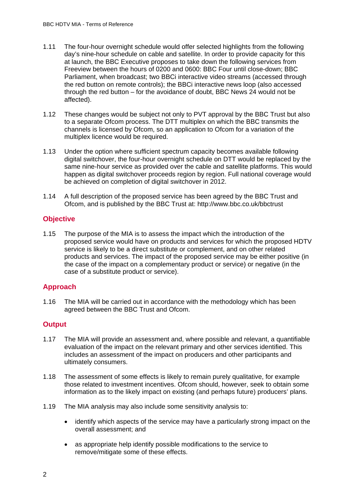- 1.11 The four-hour overnight schedule would offer selected highlights from the following day's nine-hour schedule on cable and satellite. In order to provide capacity for this at launch, the BBC Executive proposes to take down the following services from Freeview between the hours of 0200 and 0600: BBC Four until close-down; BBC Parliament, when broadcast; two BBCi interactive video streams (accessed through the red button on remote controls); the BBCi interactive news loop (also accessed through the red button – for the avoidance of doubt, BBC News 24 would not be affected).
- 1.12 These changes would be subject not only to PVT approval by the BBC Trust but also to a separate Ofcom process. The DTT multiplex on which the BBC transmits the channels is licensed by Ofcom, so an application to Ofcom for a variation of the multiplex licence would be required.
- 1.13 Under the option where sufficient spectrum capacity becomes available following digital switchover, the four-hour overnight schedule on DTT would be replaced by the same nine-hour service as provided over the cable and satellite platforms. This would happen as digital switchover proceeds region by region. Full national coverage would be achieved on completion of digital switchover in 2012.
- 1.14 A full description of the proposed service has been agreed by the BBC Trust and Ofcom, and is published by the BBC Trust at: http://www.bbc.co.uk/bbctrust

## **Objective**

1.15 The purpose of the MIA is to assess the impact which the introduction of the proposed service would have on products and services for which the proposed HDTV service is likely to be a direct substitute or complement, and on other related products and services. The impact of the proposed service may be either positive (in the case of the impact on a complementary product or service) or negative (in the case of a substitute product or service).

## **Approach**

1.16 The MIA will be carried out in accordance with the methodology which has been agreed between the BBC Trust and Ofcom.

## **Output**

- 1.17 The MIA will provide an assessment and, where possible and relevant, a quantifiable evaluation of the impact on the relevant primary and other services identified. This includes an assessment of the impact on producers and other participants and ultimately consumers.
- 1.18 The assessment of some effects is likely to remain purely qualitative, for example those related to investment incentives. Ofcom should, however, seek to obtain some information as to the likely impact on existing (and perhaps future) producers' plans.
- 1.19 The MIA analysis may also include some sensitivity analysis to:
	- identify which aspects of the service may have a particularly strong impact on the overall assessment; and
	- as appropriate help identify possible modifications to the service to remove/mitigate some of these effects.